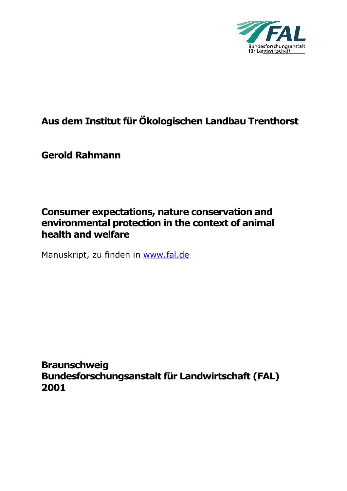

# **Aus dem Institut für Ökologischen Landbau Trenthorst**

**Gerold Rahmann** 

## **Consumer expectations, nature conservation and environmental protection in the context of animal health and welfare**

Manuskript, zu finden in www.fal.de

**Braunschweig Bundesforschungsanstalt für Landwirtschaft (FAL) 2001**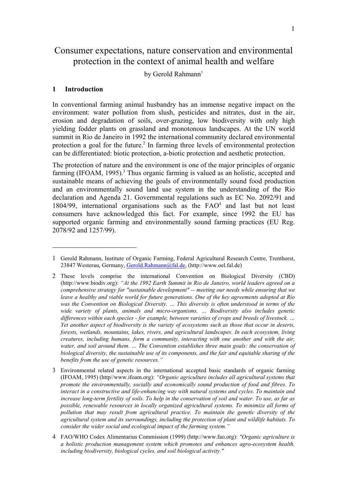## Consumer expectations, nature conservation and environmental protection in the context of animal health and welfare

by Gerold Rahmann<sup>1</sup>

#### **1 Introduction**

 $\overline{a}$ 

In conventional farming animal husbandry has an immense negative impact on the environment: water pollution from slush, pesticides and nitrates, dust in the air, erosion and degradation of soils, over-grazing, low biodiversity with only high yielding fodder plants on grassland and monotonous landscapes. At the UN world summit in Rio de Janeiro in 1992 the international community declared environmental protection a goal for the future.<sup>[2](#page-1-1)</sup> In farming three levels of environmental protection can be differentiated: biotic protection, a-biotic protection and aesthetic protection.

The protection of nature and the environment is one of the major principles of organic farming (IFOAM, 1995).<sup>3</sup> Thus organic farming is valued as an holistic, accepted and sustainable means of achieving the goals of environmentally sound food production and an environmentally sound land use system in the understanding of the Rio declaration and Agenda 21. Governmental regulations such as EC No. 2092/91 and 180[4](#page-1-3)/99, international organisations such as the  $FAO<sup>4</sup>$  and last but not least consumers have acknowledged this fact. For example, since 1992 the EU has supported organic farming and environmentally sound farming practices (EU Reg. 2078/92 and 1257/99).

<span id="page-1-0"></span><sup>1</sup> Gerold Rahmann, Institute of Organic Farming, Federal Agricultural Research Centre, Trenthorst, 23847 Westerau, Germany, [Gerold.Rahmann@fal.de,](mailto:Gerold.Rahmann@fal.de) (http://www.oel.fal.de)

<span id="page-1-1"></span><sup>2</sup> These levels comprise the international Convention on Biological Diversity (CBD) (http://www.biodiv.org): *"At the 1992 Earth Summit in Rio de Janeiro, world leaders agreed on a comprehensive strategy for "sustainable development" -- meeting our needs while ensuring that we leave a healthy and viable world for future generations. One of the key agreements adopted at Rio was the Convention on Biological Diversity. … This diversity is often understood in terms of the wide variety of plants, animals and micro-organisms. … Biodiversity also includes genetic differences within each species - for example, between varieties of crops and breeds of livestock. … Yet another aspect of biodiversity is the variety of ecosystems such as those that occur in deserts, forests, wetlands, mountains, lakes, rivers, and agricultural landscapes. In each ecosystem, living creatures, including humans, form a community, interacting with one another and with the air, water, and soil around them. … The Convention establishes three main goals: the conservation of biological diversity, the sustainable use of its components, and the fair and equitable sharing of the benefits from the use of genetic resources."*

<span id="page-1-2"></span><sup>3</sup> Environmental related aspects in the international accepted basic standards of organic farming (IFOAM, 1995) (http//www.ifoam.org): *"Organic agriculture includes all agricultural systems that promote the environmentally, socially and economically sound production of food and fibres. To interact in a constructive and life-enhancing way with natural systems and cycles. To maintain and increase long-term fertility of soils. To help in the conservation of soil and water. To use, as far as possible, renewable resources in locally organized agricultural systems. To minimize all forms of pollution that may result from agricultural practice. To maintain the genetic diversity of the agricultural system and its surroundings, including the protection of plant and wildlife habitats. To consider the wider social and ecological impact of the farming system."*

<span id="page-1-3"></span><sup>4</sup> FAO/WHO Codex Alimentarius Commission (1999) (http://www.fao.org): *"Organic agriculture is a holistic production management system which promotes and enhances agro-ecosystem health, including biodiversity, biological cycles, and soil biological activity."*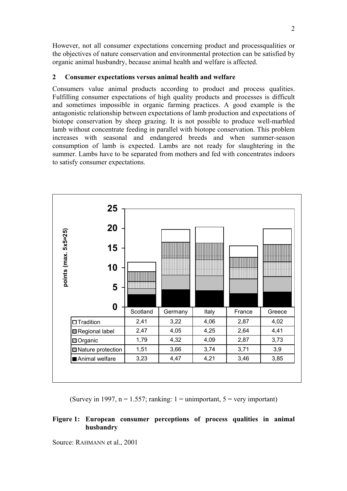However, not all consumer expectations concerning product and processqualities or the objectives of nature conservation and environmental protection can be satisfied by organic animal husbandry, because animal health and welfare is affected.

### **2 Consumer expectations versus animal health and welfare**

Consumers value animal products according to product and process qualities. Fulfilling consumer expectations of high quality products and processes is difficult and sometimes impossible in organic farming practices. A good example is the antagonistic relationship between expectations of lamb production and expectations of biotope conservation by sheep grazing. It is not possible to produce well-marbled lamb without concentrate feeding in parallel with biotope conservation. This problem increases with seasonal and endangered breeds and when summer-season consumption of lamb is expected. Lambs are not ready for slaughtering in the summer. Lambs have to be separated from mothers and fed with concentrates indoors to satisfy consumer expectations.



(Survey in 1997,  $n = 1.557$ ; ranking: 1 = unimportant, 5 = very important)

### **Figure 1: European consumer perceptions of process qualities in animal husbandry**

Source: RAHMANN et al., 2001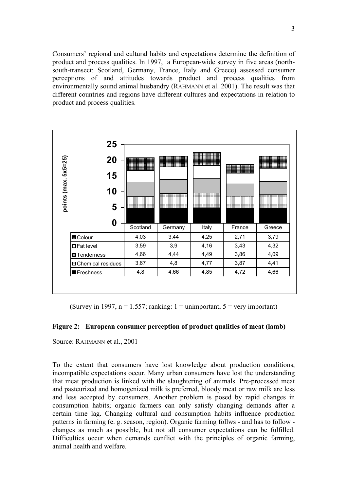Consumers' regional and cultural habits and expectations determine the definition of product and process qualities. In 1997, a European-wide survey in five areas (northsouth-transect: Scotland, Germany, France, Italy and Greece) assessed consumer perceptions of and attitudes towards product and process qualities from environmentally sound animal husbandry (RAHMANN et al. 2001). The result was that different countries and regions have different cultures and expectations in relation to product and process qualities.



(Survey in 1997,  $n = 1.557$ ; ranking: 1 = unimportant, 5 = very important)

### **Figure 2: European consumer perception of product qualities of meat (lamb)**

Source: RAHMANN et al., 2001

To the extent that consumers have lost knowledge about production conditions, incompatible expectations occur. Many urban consumers have lost the understanding that meat production is linked with the slaughtering of animals. Pre-processed meat and pasteurized and homogenized milk is preferred, bloody meat or raw milk are less and less accepted by consumers. Another problem is posed by rapid changes in consumption habits; organic farmers can only satisfy changing demands after a certain time lag. Changing cultural and consumption habits influence production patterns in farming (e. g. season, region). Organic farming follws - and has to follow changes as much as possible, but not all consumer expectations can be fulfilled. Difficulties occur when demands conflict with the principles of organic farming, animal health and welfare.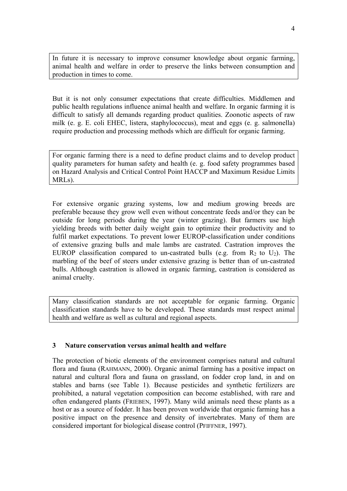In future it is necessary to improve consumer knowledge about organic farming, animal health and welfare in order to preserve the links between consumption and production in times to come.

But it is not only consumer expectations that create difficulties. Middlemen and public health regulations influence animal health and welfare. In organic farming it is difficult to satisfy all demands regarding product qualities. Zoonotic aspects of raw milk (e. g. E. coli EHEC, listera, staphylococcus), meat and eggs (e. g. salmonella) require production and processing methods which are difficult for organic farming.

For organic farming there is a need to define product claims and to develop product quality parameters for human safety and health (e. g. food safety programmes based on Hazard Analysis and Critical Control Point HACCP and Maximum Residue Limits MRLs).

For extensive organic grazing systems, low and medium growing breeds are preferable because they grow well even without concentrate feeds and/or they can be outside for long periods during the year (winter grazing). But farmers use high yielding breeds with better daily weight gain to optimize their productivity and to fulfil market expectations. To prevent lower EUROP-classification under conditions of extensive grazing bulls and male lambs are castrated. Castration improves the EUROP classification compared to un-castrated bulls (e.g. from  $R_2$  to  $U_2$ ). The marbling of the beef of steers under extensive grazing is better than of un-castrated bulls. Although castration is allowed in organic farming, castration is considered as animal cruelty.

Many classification standards are not acceptable for organic farming. Organic classification standards have to be developed. These standards must respect animal health and welfare as well as cultural and regional aspects.

### **3 Nature conservation versus animal health and welfare**

The protection of biotic elements of the environment comprises natural and cultural flora and fauna (RAHMANN, 2000). Organic animal farming has a positive impact on natural and cultural flora and fauna on grassland, on fodder crop land, in and on stables and barns (see Table 1). Because pesticides and synthetic fertilizers are prohibited, a natural vegetation composition can become established, with rare and often endangered plants (FRIEBEN, 1997). Many wild animals need these plants as a host or as a source of fodder. It has been proven worldwide that organic farming has a positive impact on the presence and density of invertebrates. Many of them are considered important for biological disease control (PFIFFNER, 1997).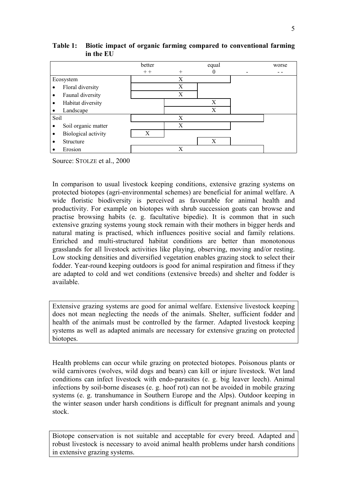

## **Table 1: Biotic impact of organic farming compared to conventional farming in the EU**

Source: STOLZE et al., 2000

In comparison to usual livestock keeping conditions, extensive grazing systems on protected biotopes (agri-environmental schemes) are beneficial for animal welfare. A wide floristic biodiversity is perceived as favourable for animal health and productivity. For example on biotopes with shrub succession goats can browse and practise browsing habits (e. g. facultative bipedie). It is common that in such extensive grazing systems young stock remain with their mothers in bigger herds and natural mating is practised, which influences positive social and family relations. Enriched and multi-structured habitat conditions are better than monotonous grasslands for all livestock activities like playing, observing, moving and/or resting. Low stocking densities and diversified vegetation enables grazing stock to select their fodder. Year-round keeping outdoors is good for animal respiration and fitness if they are adapted to cold and wet conditions (extensive breeds) and shelter and fodder is available.

Extensive grazing systems are good for animal welfare. Extensive livestock keeping does not mean neglecting the needs of the animals. Shelter, sufficient fodder and health of the animals must be controlled by the farmer. Adapted livestock keeping systems as well as adapted animals are necessary for extensive grazing on protected biotopes.

Health problems can occur while grazing on protected biotopes. Poisonous plants or wild carnivores (wolves, wild dogs and bears) can kill or injure livestock. Wet land conditions can infect livestock with endo-parasites (e. g. big leaver leech). Animal infections by soil-borne diseases (e. g. hoof rot) can not be avoided in mobile grazing systems (e. g. transhumance in Southern Europe and the Alps). Outdoor keeping in the winter season under harsh conditions is difficult for pregnant animals and young stock.

Biotope conservation is not suitable and acceptable for every breed. Adapted and robust livestock is necessary to avoid animal health problems under harsh conditions in extensive grazing systems.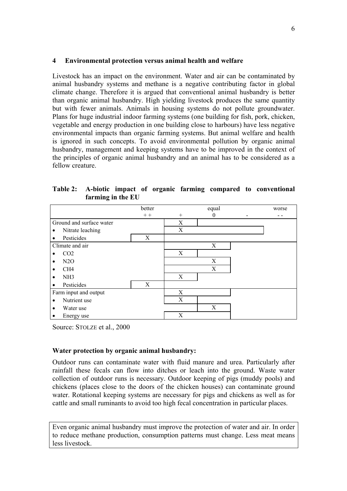#### **4 Environmental protection versus animal health and welfare**

Livestock has an impact on the environment. Water and air can be contaminated by animal husbandry systems and methane is a negative contributing factor in global climate change. Therefore it is argued that conventional animal husbandry is better than organic animal husbandry. High yielding livestock produces the same quantity but with fewer animals. Animals in housing systems do not pollute groundwater. Plans for huge industrial indoor farming systems (one building for fish, pork, chicken, vegetable and energy production in one building close to harbours) have less negative environmental impacts than organic farming systems. But animal welfare and health is ignored in such concepts. To avoid environmental pollution by organic animal husbandry, management and keeping systems have to be improved in the context of the principles of organic animal husbandry and an animal has to be considered as a fellow creature.

**Table 2: A-biotic impact of organic farming compared to conventional farming in the EU** 

|                          | better |     | equal    | worse |
|--------------------------|--------|-----|----------|-------|
|                          | $++$   | $+$ | $\theta$ |       |
| Ground and surface water |        | X   |          |       |
| Nitrate leaching         |        | X   |          |       |
| Pesticides               | X      |     |          |       |
| Climate and air          |        |     | X        |       |
| CO <sub>2</sub>          |        | X   |          |       |
| N2O                      |        |     | X        |       |
| CH <sub>4</sub>          |        |     | X        |       |
| NH <sub>3</sub>          |        | X   |          |       |
| Pesticides               | X      |     |          |       |
| Farm input and output    |        | X   |          |       |
| Nutrient use             |        | X   |          |       |
| Water use                |        |     | X        |       |
| Energy use               |        | X   |          |       |

Source: STOLZE et al., 2000

### **Water protection by organic animal husbandry:**

Outdoor runs can contaminate water with fluid manure and urea. Particularly after rainfall these fecals can flow into ditches or leach into the ground. Waste water collection of outdoor runs is necessary. Outdoor keeping of pigs (muddy pools) and chickens (places close to the doors of the chicken houses) can contaminate ground water. Rotational keeping systems are necessary for pigs and chickens as well as for cattle and small ruminants to avoid too high fecal concentration in particular places.

Even organic animal husbandry must improve the protection of water and air. In order to reduce methane production, consumption patterns must change. Less meat means less livestock.